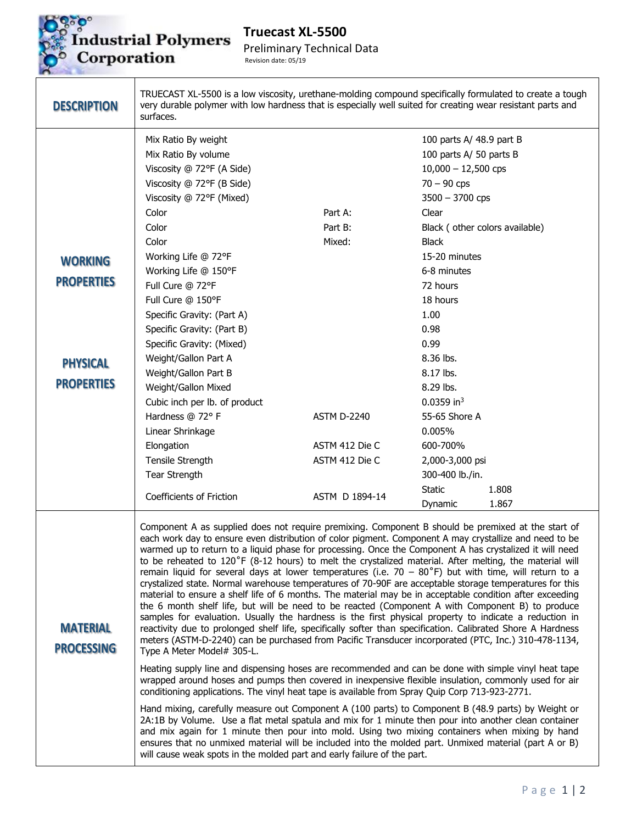

## Prindustrial Polymers<br>Corporation

**Truecast XL-5500**  Preliminary Technical Data Revision date: 05/19

| <b>DESCRIPTION</b>                   | TRUECAST XL-5500 is a low viscosity, urethane-molding compound specifically formulated to create a tough<br>very durable polymer with low hardness that is especially well suited for creating wear resistant parts and<br>surfaces.                                                                                                                                                                                                                                                                                                                                                                                                                                                                                                                                                                                                                                                                                                                                                                                                                                                                                                                                                                                                                                                                                                                                                                                                                                                                                                                                                                                                                                                                                                                                                                                                                                                                                                                                                                                                                                       |                    |                                                                                               |                                |
|--------------------------------------|----------------------------------------------------------------------------------------------------------------------------------------------------------------------------------------------------------------------------------------------------------------------------------------------------------------------------------------------------------------------------------------------------------------------------------------------------------------------------------------------------------------------------------------------------------------------------------------------------------------------------------------------------------------------------------------------------------------------------------------------------------------------------------------------------------------------------------------------------------------------------------------------------------------------------------------------------------------------------------------------------------------------------------------------------------------------------------------------------------------------------------------------------------------------------------------------------------------------------------------------------------------------------------------------------------------------------------------------------------------------------------------------------------------------------------------------------------------------------------------------------------------------------------------------------------------------------------------------------------------------------------------------------------------------------------------------------------------------------------------------------------------------------------------------------------------------------------------------------------------------------------------------------------------------------------------------------------------------------------------------------------------------------------------------------------------------------|--------------------|-----------------------------------------------------------------------------------------------|--------------------------------|
|                                      | Mix Ratio By weight<br>Mix Ratio By volume<br>Viscosity @ 72°F (A Side)<br>Viscosity @ 72°F (B Side)                                                                                                                                                                                                                                                                                                                                                                                                                                                                                                                                                                                                                                                                                                                                                                                                                                                                                                                                                                                                                                                                                                                                                                                                                                                                                                                                                                                                                                                                                                                                                                                                                                                                                                                                                                                                                                                                                                                                                                       |                    | 100 parts A/ 48.9 part B<br>100 parts A/ 50 parts B<br>$10,000 - 12,500$ cps<br>$70 - 90$ cps |                                |
|                                      | Viscosity @ 72°F (Mixed)                                                                                                                                                                                                                                                                                                                                                                                                                                                                                                                                                                                                                                                                                                                                                                                                                                                                                                                                                                                                                                                                                                                                                                                                                                                                                                                                                                                                                                                                                                                                                                                                                                                                                                                                                                                                                                                                                                                                                                                                                                                   |                    | $3500 - 3700$ cps                                                                             |                                |
|                                      | Color                                                                                                                                                                                                                                                                                                                                                                                                                                                                                                                                                                                                                                                                                                                                                                                                                                                                                                                                                                                                                                                                                                                                                                                                                                                                                                                                                                                                                                                                                                                                                                                                                                                                                                                                                                                                                                                                                                                                                                                                                                                                      | Part A:            | Clear                                                                                         |                                |
|                                      | Color                                                                                                                                                                                                                                                                                                                                                                                                                                                                                                                                                                                                                                                                                                                                                                                                                                                                                                                                                                                                                                                                                                                                                                                                                                                                                                                                                                                                                                                                                                                                                                                                                                                                                                                                                                                                                                                                                                                                                                                                                                                                      | Part B:            |                                                                                               | Black (other colors available) |
|                                      | Color                                                                                                                                                                                                                                                                                                                                                                                                                                                                                                                                                                                                                                                                                                                                                                                                                                                                                                                                                                                                                                                                                                                                                                                                                                                                                                                                                                                                                                                                                                                                                                                                                                                                                                                                                                                                                                                                                                                                                                                                                                                                      | Mixed:             | <b>Black</b>                                                                                  |                                |
|                                      | Working Life @ 72°F                                                                                                                                                                                                                                                                                                                                                                                                                                                                                                                                                                                                                                                                                                                                                                                                                                                                                                                                                                                                                                                                                                                                                                                                                                                                                                                                                                                                                                                                                                                                                                                                                                                                                                                                                                                                                                                                                                                                                                                                                                                        |                    | 15-20 minutes                                                                                 |                                |
| <b>WORKING</b>                       | Working Life @ 150°F                                                                                                                                                                                                                                                                                                                                                                                                                                                                                                                                                                                                                                                                                                                                                                                                                                                                                                                                                                                                                                                                                                                                                                                                                                                                                                                                                                                                                                                                                                                                                                                                                                                                                                                                                                                                                                                                                                                                                                                                                                                       |                    | 6-8 minutes                                                                                   |                                |
| <b>PROPERTIES</b>                    | Full Cure @ 72°F                                                                                                                                                                                                                                                                                                                                                                                                                                                                                                                                                                                                                                                                                                                                                                                                                                                                                                                                                                                                                                                                                                                                                                                                                                                                                                                                                                                                                                                                                                                                                                                                                                                                                                                                                                                                                                                                                                                                                                                                                                                           |                    | 72 hours                                                                                      |                                |
|                                      | Full Cure @ 150°F                                                                                                                                                                                                                                                                                                                                                                                                                                                                                                                                                                                                                                                                                                                                                                                                                                                                                                                                                                                                                                                                                                                                                                                                                                                                                                                                                                                                                                                                                                                                                                                                                                                                                                                                                                                                                                                                                                                                                                                                                                                          |                    | 18 hours                                                                                      |                                |
|                                      | Specific Gravity: (Part A)                                                                                                                                                                                                                                                                                                                                                                                                                                                                                                                                                                                                                                                                                                                                                                                                                                                                                                                                                                                                                                                                                                                                                                                                                                                                                                                                                                                                                                                                                                                                                                                                                                                                                                                                                                                                                                                                                                                                                                                                                                                 |                    | 1.00                                                                                          |                                |
|                                      | Specific Gravity: (Part B)                                                                                                                                                                                                                                                                                                                                                                                                                                                                                                                                                                                                                                                                                                                                                                                                                                                                                                                                                                                                                                                                                                                                                                                                                                                                                                                                                                                                                                                                                                                                                                                                                                                                                                                                                                                                                                                                                                                                                                                                                                                 |                    | 0.98                                                                                          |                                |
|                                      | Specific Gravity: (Mixed)                                                                                                                                                                                                                                                                                                                                                                                                                                                                                                                                                                                                                                                                                                                                                                                                                                                                                                                                                                                                                                                                                                                                                                                                                                                                                                                                                                                                                                                                                                                                                                                                                                                                                                                                                                                                                                                                                                                                                                                                                                                  |                    | 0.99                                                                                          |                                |
| <b>PHYSICAL</b>                      | Weight/Gallon Part A                                                                                                                                                                                                                                                                                                                                                                                                                                                                                                                                                                                                                                                                                                                                                                                                                                                                                                                                                                                                                                                                                                                                                                                                                                                                                                                                                                                                                                                                                                                                                                                                                                                                                                                                                                                                                                                                                                                                                                                                                                                       |                    | 8.36 lbs.                                                                                     |                                |
|                                      | Weight/Gallon Part B                                                                                                                                                                                                                                                                                                                                                                                                                                                                                                                                                                                                                                                                                                                                                                                                                                                                                                                                                                                                                                                                                                                                                                                                                                                                                                                                                                                                                                                                                                                                                                                                                                                                                                                                                                                                                                                                                                                                                                                                                                                       |                    | 8.17 lbs.                                                                                     |                                |
| <b>PROPERTIES</b>                    | Weight/Gallon Mixed                                                                                                                                                                                                                                                                                                                                                                                                                                                                                                                                                                                                                                                                                                                                                                                                                                                                                                                                                                                                                                                                                                                                                                                                                                                                                                                                                                                                                                                                                                                                                                                                                                                                                                                                                                                                                                                                                                                                                                                                                                                        |                    | 8.29 lbs.                                                                                     |                                |
|                                      | Cubic inch per lb. of product                                                                                                                                                                                                                                                                                                                                                                                                                                                                                                                                                                                                                                                                                                                                                                                                                                                                                                                                                                                                                                                                                                                                                                                                                                                                                                                                                                                                                                                                                                                                                                                                                                                                                                                                                                                                                                                                                                                                                                                                                                              |                    | $0.0359$ in <sup>3</sup>                                                                      |                                |
|                                      | Hardness @ 72° F                                                                                                                                                                                                                                                                                                                                                                                                                                                                                                                                                                                                                                                                                                                                                                                                                                                                                                                                                                                                                                                                                                                                                                                                                                                                                                                                                                                                                                                                                                                                                                                                                                                                                                                                                                                                                                                                                                                                                                                                                                                           | <b>ASTM D-2240</b> | 55-65 Shore A                                                                                 |                                |
|                                      | Linear Shrinkage                                                                                                                                                                                                                                                                                                                                                                                                                                                                                                                                                                                                                                                                                                                                                                                                                                                                                                                                                                                                                                                                                                                                                                                                                                                                                                                                                                                                                                                                                                                                                                                                                                                                                                                                                                                                                                                                                                                                                                                                                                                           |                    | 0.005%                                                                                        |                                |
|                                      | Elongation                                                                                                                                                                                                                                                                                                                                                                                                                                                                                                                                                                                                                                                                                                                                                                                                                                                                                                                                                                                                                                                                                                                                                                                                                                                                                                                                                                                                                                                                                                                                                                                                                                                                                                                                                                                                                                                                                                                                                                                                                                                                 | ASTM 412 Die C     | 600-700%                                                                                      |                                |
|                                      | Tensile Strength                                                                                                                                                                                                                                                                                                                                                                                                                                                                                                                                                                                                                                                                                                                                                                                                                                                                                                                                                                                                                                                                                                                                                                                                                                                                                                                                                                                                                                                                                                                                                                                                                                                                                                                                                                                                                                                                                                                                                                                                                                                           | ASTM 412 Die C     | 2,000-3,000 psi                                                                               |                                |
|                                      | <b>Tear Strength</b>                                                                                                                                                                                                                                                                                                                                                                                                                                                                                                                                                                                                                                                                                                                                                                                                                                                                                                                                                                                                                                                                                                                                                                                                                                                                                                                                                                                                                                                                                                                                                                                                                                                                                                                                                                                                                                                                                                                                                                                                                                                       |                    | 300-400 lb./in.                                                                               |                                |
|                                      | Coefficients of Friction                                                                                                                                                                                                                                                                                                                                                                                                                                                                                                                                                                                                                                                                                                                                                                                                                                                                                                                                                                                                                                                                                                                                                                                                                                                                                                                                                                                                                                                                                                                                                                                                                                                                                                                                                                                                                                                                                                                                                                                                                                                   | ASTM D 1894-14     | <b>Static</b>                                                                                 | 1.808                          |
|                                      |                                                                                                                                                                                                                                                                                                                                                                                                                                                                                                                                                                                                                                                                                                                                                                                                                                                                                                                                                                                                                                                                                                                                                                                                                                                                                                                                                                                                                                                                                                                                                                                                                                                                                                                                                                                                                                                                                                                                                                                                                                                                            |                    | Dynamic                                                                                       | 1.867                          |
| <b>MATERIAL</b><br><b>PROCESSING</b> | Component A as supplied does not require premixing. Component B should be premixed at the start of<br>each work day to ensure even distribution of color pigment. Component A may crystallize and need to be<br>warmed up to return to a liquid phase for processing. Once the Component A has crystalized it will need<br>to be reheated to 120°F (8-12 hours) to melt the crystalized material. After melting, the material will<br>remain liquid for several days at lower temperatures (i.e. $70 - 80^{\circ}$ F) but with time, will return to a<br>crystalized state. Normal warehouse temperatures of 70-90F are acceptable storage temperatures for this<br>material to ensure a shelf life of 6 months. The material may be in acceptable condition after exceeding<br>the 6 month shelf life, but will be need to be reacted (Component A with Component B) to produce<br>samples for evaluation. Usually the hardness is the first physical property to indicate a reduction in<br>reactivity due to prolonged shelf life, specifically softer than specification. Calibrated Shore A Hardness<br>meters (ASTM-D-2240) can be purchased from Pacific Transducer incorporated (PTC, Inc.) 310-478-1134,<br>Type A Meter Model# 305-L.<br>Heating supply line and dispensing hoses are recommended and can be done with simple vinyl heat tape<br>wrapped around hoses and pumps then covered in inexpensive flexible insulation, commonly used for air<br>conditioning applications. The vinyl heat tape is available from Spray Quip Corp 713-923-2771.<br>Hand mixing, carefully measure out Component A (100 parts) to Component B (48.9 parts) by Weight or<br>2A:1B by Volume. Use a flat metal spatula and mix for 1 minute then pour into another clean container<br>and mix again for 1 minute then pour into mold. Using two mixing containers when mixing by hand<br>ensures that no unmixed material will be included into the molded part. Unmixed material (part A or B)<br>will cause weak spots in the molded part and early failure of the part. |                    |                                                                                               |                                |